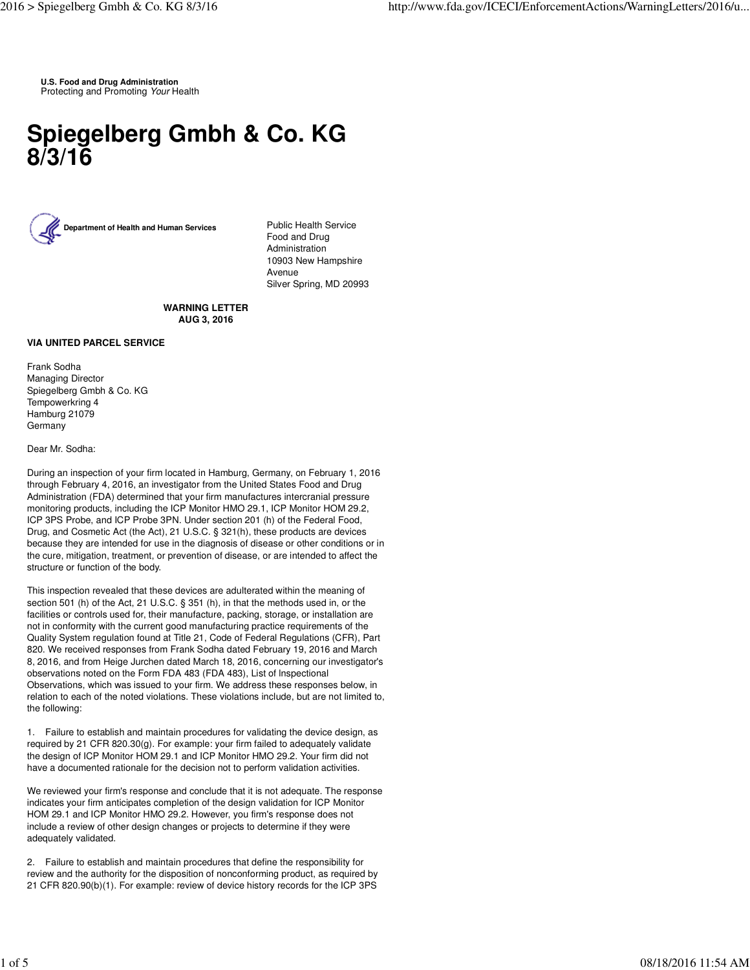**U.S. Food and Drug Administration** Protecting and Promoting Your Health

## **Spiegelberg Gmbh & Co. KG 8/3/16**



Food and Drug Administration 10903 New Hampshire Avenue Silver Spring, MD 20993

## **WARNING LETTER AUG 3, 2016**

## **VIA UNITED PARCEL SERVICE**

Frank Sodha Managing Director Spiegelberg Gmbh & Co. KG Tempowerkring 4 Hamburg 21079 Germany

## Dear Mr. Sodha:

During an inspection of your firm located in Hamburg, Germany, on February 1, 2016 through February 4, 2016, an investigator from the United States Food and Drug Administration (FDA) determined that your firm manufactures intercranial pressure monitoring products, including the ICP Monitor HMO 29.1, ICP Monitor HOM 29.2, ICP 3PS Probe, and ICP Probe 3PN. Under section 201 (h) of the Federal Food, Drug, and Cosmetic Act (the Act), 21 U.S.C. § 321(h), these products are devices because they are intended for use in the diagnosis of disease or other conditions or in the cure, mitigation, treatment, or prevention of disease, or are intended to affect the structure or function of the body.

This inspection revealed that these devices are adulterated within the meaning of section 501 (h) of the Act, 21 U.S.C. § 351 (h), in that the methods used in, or the facilities or controls used for, their manufacture, packing, storage, or installation are not in conformity with the current good manufacturing practice requirements of the Quality System regulation found at Title 21, Code of Federal Regulations (CFR), Part 820. We received responses from Frank Sodha dated February 19, 2016 and March 8, 2016, and from Heige Jurchen dated March 18, 2016, concerning our investigator's observations noted on the Form FDA 483 (FDA 483), List of lnspectional Observations, which was issued to your firm. We address these responses below, in relation to each of the noted violations. These violations include, but are not limited to, the following:

1. Failure to establish and maintain procedures for validating the device design, as required by 21 CFR 820.30(g). For example: your firm failed to adequately validate the design of ICP Monitor HOM 29.1 and ICP Monitor HMO 29.2. Your firm did not have a documented rationale for the decision not to perform validation activities.

We reviewed your firm's response and conclude that it is not adequate. The response indicates your firm anticipates completion of the design validation for ICP Monitor HOM 29.1 and ICP Monitor HMO 29.2. However, you firm's response does not include a review of other design changes or projects to determine if they were adequately validated.

2. Failure to establish and maintain procedures that define the responsibility for review and the authority for the disposition of nonconforming product, as required by 21 CFR 820.90(b)(1). For example: review of device history records for the ICP 3PS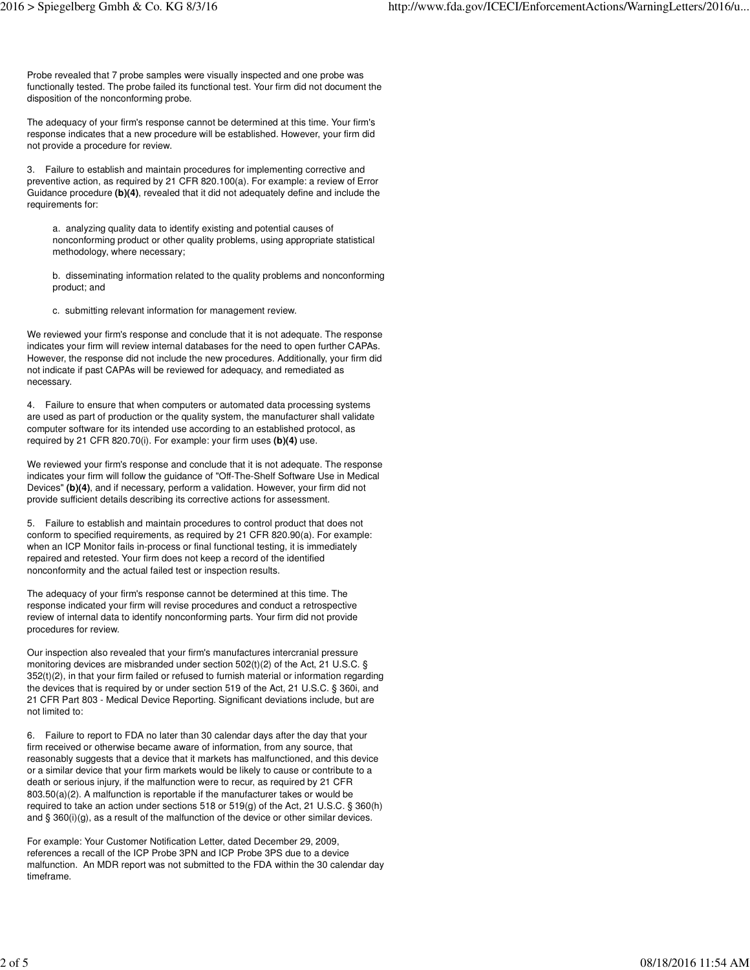Probe revealed that 7 probe samples were visually inspected and one probe was functionally tested. The probe failed its functional test. Your firm did not document the disposition of the nonconforming probe.

The adequacy of your firm's response cannot be determined at this time. Your firm's response indicates that a new procedure will be established. However, your firm did not provide a procedure for review.

3. Failure to establish and maintain procedures for implementing corrective and preventive action, as required by 21 CFR 820.100(a). For example: a review of Error Guidance procedure **(b)(4)**, revealed that it did not adequately define and include the requirements for:

a. analyzing quality data to identify existing and potential causes of nonconforming product or other quality problems, using appropriate statistical methodology, where necessary;

b. disseminating information related to the quality problems and nonconforming product; and

c. submitting relevant information for management review.

We reviewed your firm's response and conclude that it is not adequate. The response indicates your firm will review internal databases for the need to open further CAPAs. However, the response did not include the new procedures. Additionally, your firm did not indicate if past CAPAs will be reviewed for adequacy, and remediated as necessary.

4. Failure to ensure that when computers or automated data processing systems are used as part of production or the quality system, the manufacturer shall validate computer software for its intended use according to an established protocol, as required by 21 CFR 820.70(i). For example: your firm uses **(b)(4)** use.

We reviewed your firm's response and conclude that it is not adequate. The response indicates your firm will follow the guidance of "Off-The-Shelf Software Use in Medical Devices" **(b)(4)**, and if necessary, perform a validation. However, your firm did not provide sufficient details describing its corrective actions for assessment.

5. Failure to establish and maintain procedures to control product that does not conform to specified requirements, as required by 21 CFR 820.90(a). For example: when an ICP Monitor fails in-process or final functional testing, it is immediately repaired and retested. Your firm does not keep a record of the identified nonconformity and the actual failed test or inspection results.

The adequacy of your firm's response cannot be determined at this time. The response indicated your firm will revise procedures and conduct a retrospective review of internal data to identify nonconforming parts. Your firm did not provide procedures for review.

Our inspection also revealed that your firm's manufactures intercranial pressure monitoring devices are misbranded under section 502(t)(2) of the Act, 21 U.S.C. § 352(t)(2), in that your firm failed or refused to furnish material or information regarding the devices that is required by or under section 519 of the Act, 21 U.S.C. § 360i, and 21 CFR Part 803 - Medical Device Reporting. Significant deviations include, but are not limited to:

6. Failure to report to FDA no later than 30 calendar days after the day that your firm received or otherwise became aware of information, from any source, that reasonably suggests that a device that it markets has malfunctioned, and this device or a similar device that your firm markets would be likely to cause or contribute to a death or serious injury, if the malfunction were to recur, as required by 21 CFR 803.50(a)(2). A malfunction is reportable if the manufacturer takes or would be required to take an action under sections 518 or 519(g) of the Act, 21 U.S.C. § 360(h) and  $\S$  360(i)(g), as a result of the malfunction of the device or other similar devices.

For example: Your Customer Notification Letter, dated December 29, 2009, references a recall of the ICP Probe 3PN and ICP Probe 3PS due to a device malfunction. An MDR report was not submitted to the FDA within the 30 calendar day timeframe.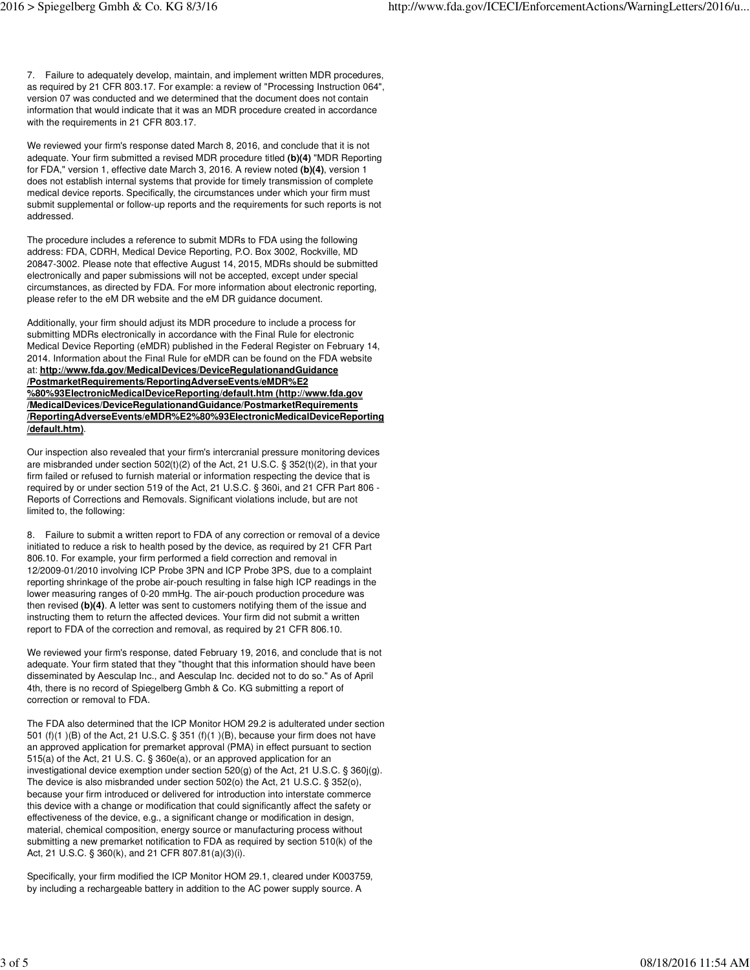7. Failure to adequately develop, maintain, and implement written MDR procedures, as required by 21 CFR 803.17. For example: a review of "Processing Instruction 064", version 07 was conducted and we determined that the document does not contain information that would indicate that it was an MDR procedure created in accordance with the requirements in 21 CFR 803.17.

We reviewed your firm's response dated March 8, 2016, and conclude that it is not adequate. Your firm submitted a revised MDR procedure titled **(b)(4)** "MDR Reporting for FDA," version 1, effective date March 3, 2016. A review noted **(b)(4)**, version 1 does not establish internal systems that provide for timely transmission of complete medical device reports. Specifically, the circumstances under which your firm must submit supplemental or follow-up reports and the requirements for such reports is not addressed.

The procedure includes a reference to submit MDRs to FDA using the following address: FDA, CDRH, Medical Device Reporting, P.O. Box 3002, Rockville, MD 20847-3002. Please note that effective August 14, 2015, MDRs should be submitted electronically and paper submissions will not be accepted, except under special circumstances, as directed by FDA. For more information about electronic reporting, please refer to the eM DR website and the eM DR guidance document.

Additionally, your firm should adjust its MDR procedure to include a process for submitting MDRs electronically in accordance with the Final Rule for electronic Medical Device Reporting (eMDR) published in the Federal Register on February 14, 2014. Information about the Final Rule for eMDR can be found on the FDA website at: **http://www.fda.gov/MedicalDevices/DeviceRegulationandGuidance /PostmarketRequirements/ReportingAdverseEvents/eMDR%E2 %80%93ElectronicMedicalDeviceReporting/default.htm (http://www.fda.gov /MedicalDevices/DeviceRegulationandGuidance/PostmarketRequirements /ReportingAdverseEvents/eMDR%E2%80%93ElectronicMedicalDeviceReporting /default.htm)**.

Our inspection also revealed that your firm's intercranial pressure monitoring devices are misbranded under section 502(t)(2) of the Act, 21 U.S.C. § 352(t)(2), in that your firm failed or refused to furnish material or information respecting the device that is required by or under section 519 of the Act, 21 U.S.C. § 360i, and 21 CFR Part 806 - Reports of Corrections and Removals. Significant violations include, but are not limited to, the following:

8. Failure to submit a written report to FDA of any correction or removal of a device initiated to reduce a risk to health posed by the device, as required by 21 CFR Part 806.10. For example, your firm performed a field correction and removal in 12/2009-01/2010 involving ICP Probe 3PN and ICP Probe 3PS, due to a complaint reporting shrinkage of the probe air-pouch resulting in false high ICP readings in the lower measuring ranges of 0-20 mmHg. The air-pouch production procedure was then revised **(b)(4)**. A letter was sent to customers notifying them of the issue and instructing them to return the affected devices. Your firm did not submit a written report to FDA of the correction and removal, as required by 21 CFR 806.10.

We reviewed your firm's response, dated February 19, 2016, and conclude that is not adequate. Your firm stated that they "thought that this information should have been disseminated by Aesculap Inc., and Aesculap Inc. decided not to do so." As of April 4th, there is no record of Spiegelberg Gmbh & Co. KG submitting a report of correction or removal to FDA.

The FDA also determined that the ICP Monitor HOM 29.2 is adulterated under section 501 (f)(1 )(B) of the Act, 21 U.S.C. § 351 (f)(1 )(B), because your firm does not have an approved application for premarket approval (PMA) in effect pursuant to section 515(a) of the Act, 21 U.S. C. § 360e(a), or an approved application for an investigational device exemption under section 520(g) of the Act, 21 U.S.C. § 360j(g). The device is also misbranded under section 502(o) the Act, 21 U.S.C. § 352(o), because your firm introduced or delivered for introduction into interstate commerce this device with a change or modification that could significantly affect the safety or effectiveness of the device, e.g., a significant change or modification in design, material, chemical composition, energy source or manufacturing process without submitting a new premarket notification to FDA as required by section 510(k) of the Act, 21 U.S.C. § 360(k), and 21 CFR 807.81(a)(3)(i).

Specifically, your firm modified the ICP Monitor HOM 29.1, cleared under K003759, by including a rechargeable battery in addition to the AC power supply source. A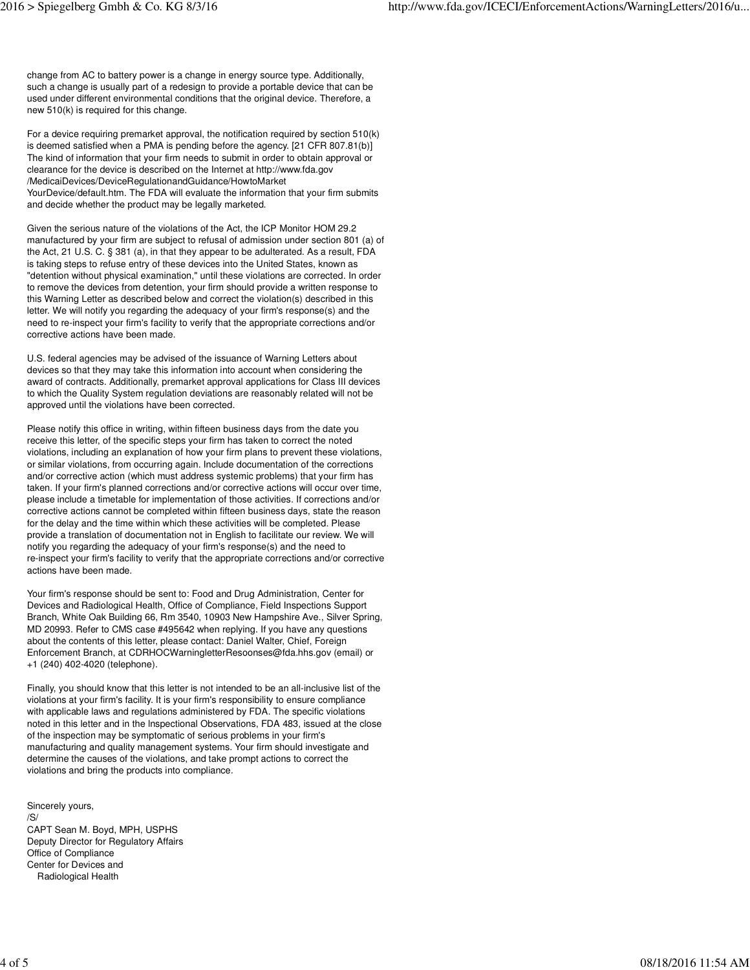change from AC to battery power is a change in energy source type. Additionally, such a change is usually part of a redesign to provide a portable device that can be used under different environmental conditions that the original device. Therefore, a new 510(k) is required for this change.

For a device requiring premarket approval, the notification required by section 510(k) is deemed satisfied when a PMA is pending before the agency. [21 CFR 807.81(b)] The kind of information that your firm needs to submit in order to obtain approval or clearance for the device is described on the Internet at http://www.fda.gov /MedicaiDevices/DeviceRegulationandGuidance/HowtoMarket YourDevice/default.htm. The FDA will evaluate the information that your firm submits and decide whether the product may be legally marketed.

Given the serious nature of the violations of the Act, the ICP Monitor HOM 29.2 manufactured by your firm are subject to refusal of admission under section 801 (a) of the Act, 21 U.S. C. § 381 (a), in that they appear to be adulterated. As a result, FDA is taking steps to refuse entry of these devices into the United States, known as "detention without physical examination," until these violations are corrected. In order to remove the devices from detention, your firm should provide a written response to this Warning Letter as described below and correct the violation(s) described in this letter. We will notify you regarding the adequacy of your firm's response(s) and the need to re-inspect your firm's facility to verify that the appropriate corrections and/or corrective actions have been made.

U.S. federal agencies may be advised of the issuance of Warning Letters about devices so that they may take this information into account when considering the award of contracts. Additionally, premarket approval applications for Class III devices to which the Quality System regulation deviations are reasonably related will not be approved until the violations have been corrected.

Please notify this office in writing, within fifteen business days from the date you receive this letter, of the specific steps your firm has taken to correct the noted violations, including an explanation of how your firm plans to prevent these violations, or similar violations, from occurring again. Include documentation of the corrections and/or corrective action (which must address systemic problems) that your firm has taken. If your firm's planned corrections and/or corrective actions will occur over time, please include a timetable for implementation of those activities. If corrections and/or corrective actions cannot be completed within fifteen business days, state the reason for the delay and the time within which these activities will be completed. Please provide a translation of documentation not in English to facilitate our review. We will notify you regarding the adequacy of your firm's response(s) and the need to re-inspect your firm's facility to verify that the appropriate corrections and/or corrective actions have been made.

Your firm's response should be sent to: Food and Drug Administration, Center for Devices and Radiological Health, Office of Compliance, Field Inspections Support Branch, White Oak Building 66, Rm 3540, 10903 New Hampshire Ave., Silver Spring, MD 20993. Refer to CMS case #495642 when replying. If you have any questions about the contents of this letter, please contact: Daniel Walter, Chief, Foreign Enforcement Branch, at CDRHOCWarningletterResoonses@fda.hhs.gov (email) or +1 (240) 402-4020 (telephone).

Finally, you should know that this letter is not intended to be an all-inclusive list of the violations at your firm's facility. It is your firm's responsibility to ensure compliance with applicable laws and regulations administered by FDA. The specific violations noted in this letter and in the lnspectional Observations, FDA 483, issued at the close of the inspection may be symptomatic of serious problems in your firm's manufacturing and quality management systems. Your firm should investigate and determine the causes of the violations, and take prompt actions to correct the violations and bring the products into compliance.

Sincerely yours, /S/ CAPT Sean M. Boyd, MPH, USPHS Deputy Director for Regulatory Affairs Office of Compliance Center for Devices and Radiological Health